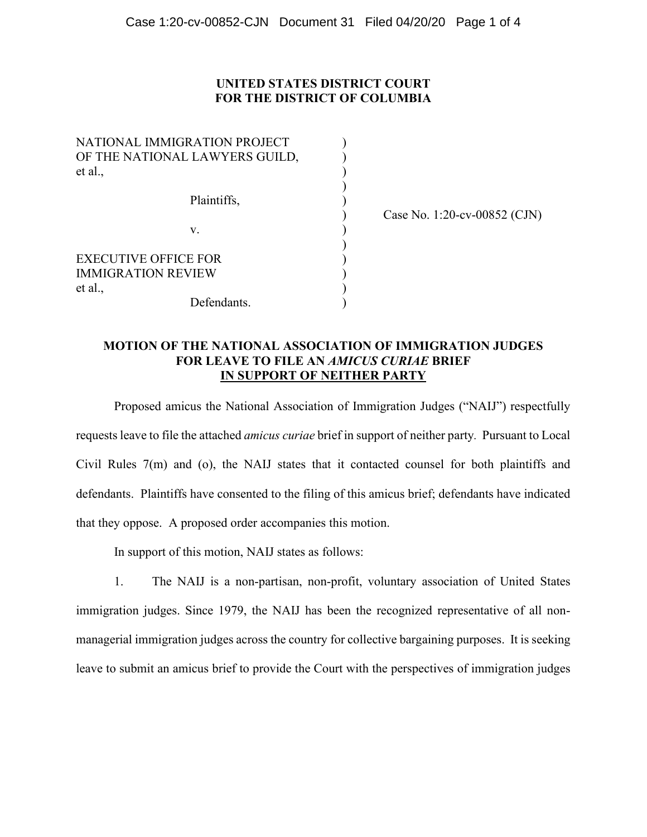# **UNITED STATES DISTRICT COURT FOR THE DISTRICT OF COLUMBIA**

)<br>)<br>)

| NATIONAL IMMIGRATION PROJECT   |  |
|--------------------------------|--|
| OF THE NATIONAL LAWYERS GUILD, |  |
| et al.,                        |  |
|                                |  |
| Plaintiffs,                    |  |
|                                |  |
| V.                             |  |
|                                |  |
| <b>EXECUTIVE OFFICE FOR</b>    |  |
| IMMIGRATION REVIEW             |  |
| et al.,                        |  |
| Defendants.                    |  |

) Case No. 1:20-cv-00852 (CJN)

## **MOTION OF THE NATIONAL ASSOCIATION OF IMMIGRATION JUDGES FOR LEAVE TO FILE AN** *AMICUS CURIAE* **BRIEF IN SUPPORT OF NEITHER PARTY**

Proposed amicus the National Association of Immigration Judges ("NAIJ") respectfully requests leave to file the attached *amicus curiae* brief in support of neither party*.* Pursuant to Local Civil Rules 7(m) and (o), the NAIJ states that it contacted counsel for both plaintiffs and defendants. Plaintiffs have consented to the filing of this amicus brief; defendants have indicated that they oppose. A proposed order accompanies this motion.

In support of this motion, NAIJ states as follows:

1. The NAIJ is a non-partisan, non-profit, voluntary association of United States immigration judges. Since 1979, the NAIJ has been the recognized representative of all nonmanagerial immigration judges across the country for collective bargaining purposes. It is seeking leave to submit an amicus brief to provide the Court with the perspectives of immigration judges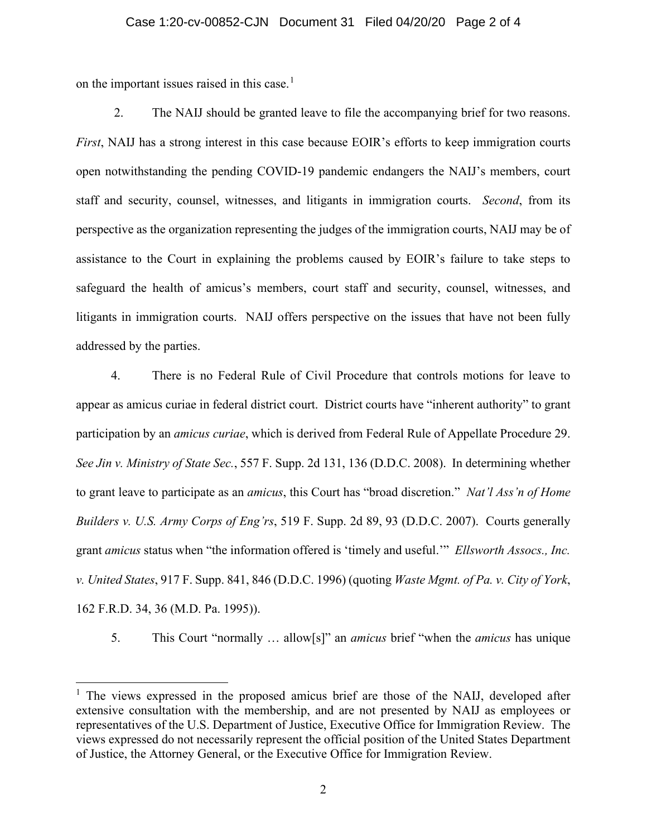## Case 1:20-cv-00852-CJN Document 31 Filed 04/20/20 Page 2 of 4

on the important issues raised in this case.<sup>[1](#page-1-0)</sup>

2. The NAIJ should be granted leave to file the accompanying brief for two reasons. *First*, NAIJ has a strong interest in this case because EOIR's efforts to keep immigration courts open notwithstanding the pending COVID-19 pandemic endangers the NAIJ's members, court staff and security, counsel, witnesses, and litigants in immigration courts. *Second*, from its perspective as the organization representing the judges of the immigration courts, NAIJ may be of assistance to the Court in explaining the problems caused by EOIR's failure to take steps to safeguard the health of amicus's members, court staff and security, counsel, witnesses, and litigants in immigration courts. NAIJ offers perspective on the issues that have not been fully addressed by the parties.

4. There is no Federal Rule of Civil Procedure that controls motions for leave to appear as amicus curiae in federal district court. District courts have "inherent authority" to grant participation by an *amicus curiae*, which is derived from Federal Rule of Appellate Procedure 29. *See Jin v. Ministry of State Sec.*, 557 F. Supp. 2d 131, 136 (D.D.C. 2008). In determining whether to grant leave to participate as an *amicus*, this Court has "broad discretion." *Nat'l Ass'n of Home Builders v. U.S. Army Corps of Eng'rs*, 519 F. Supp. 2d 89, 93 (D.D.C. 2007). Courts generally grant *amicus* status when "the information offered is 'timely and useful.'" *Ellsworth Assocs., Inc. v. United States*, 917 F. Supp. 841, 846 (D.D.C. 1996) (quoting *Waste Mgmt. of Pa. v. City of York*, 162 F.R.D. 34, 36 (M.D. Pa. 1995)).

5. This Court "normally … allow[s]" an *amicus* brief "when the *amicus* has unique

<span id="page-1-0"></span> $<sup>1</sup>$  The views expressed in the proposed amicus brief are those of the NAIJ, developed after</sup> extensive consultation with the membership, and are not presented by NAIJ as employees or representatives of the U.S. Department of Justice, Executive Office for Immigration Review. The views expressed do not necessarily represent the official position of the United States Department of Justice, the Attorney General, or the Executive Office for Immigration Review.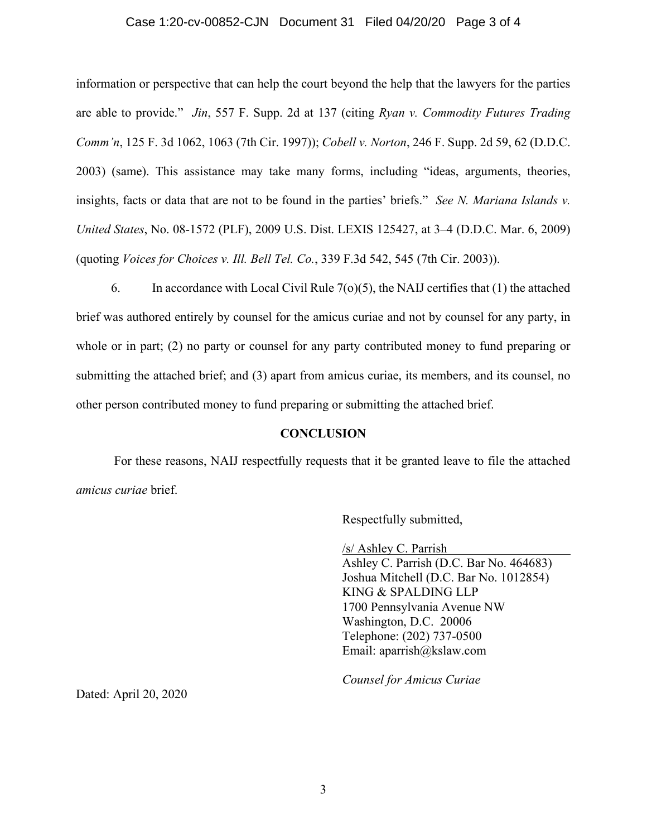## Case 1:20-cv-00852-CJN Document 31 Filed 04/20/20 Page 3 of 4

information or perspective that can help the court beyond the help that the lawyers for the parties are able to provide." *Jin*, 557 F. Supp. 2d at 137 (citing *Ryan v. Commodity Futures Trading Comm'n*, 125 F. 3d 1062, 1063 (7th Cir. 1997)); *Cobell v. Norton*, 246 F. Supp. 2d 59, 62 (D.D.C. 2003) (same). This assistance may take many forms, including "ideas, arguments, theories, insights, facts or data that are not to be found in the parties' briefs." *See N. Mariana Islands v. United States*, No. 08-1572 (PLF), 2009 U.S. Dist. LEXIS 125427, at 3–4 (D.D.C. Mar. 6, 2009) (quoting *Voices for Choices v. Ill. Bell Tel. Co.*, 339 F.3d 542, 545 (7th Cir. 2003)).

6. In accordance with Local Civil Rule  $7<sub>(o)</sub>(5)$ , the NAIJ certifies that (1) the attached brief was authored entirely by counsel for the amicus curiae and not by counsel for any party, in whole or in part; (2) no party or counsel for any party contributed money to fund preparing or submitting the attached brief; and (3) apart from amicus curiae, its members, and its counsel, no other person contributed money to fund preparing or submitting the attached brief.

## **CONCLUSION**

For these reasons, NAIJ respectfully requests that it be granted leave to file the attached *amicus curiae* brief.

Respectfully submitted,

/s/ Ashley C. Parrish Ashley C. Parrish (D.C. Bar No. 464683)

Joshua Mitchell (D.C. Bar No. 1012854) KING & SPALDING LLP 1700 Pennsylvania Avenue NW Washington, D.C. 20006 Telephone: (202) 737-0500 Email: aparrish@kslaw.com

*Counsel for Amicus Curiae*

Dated: April 20, 2020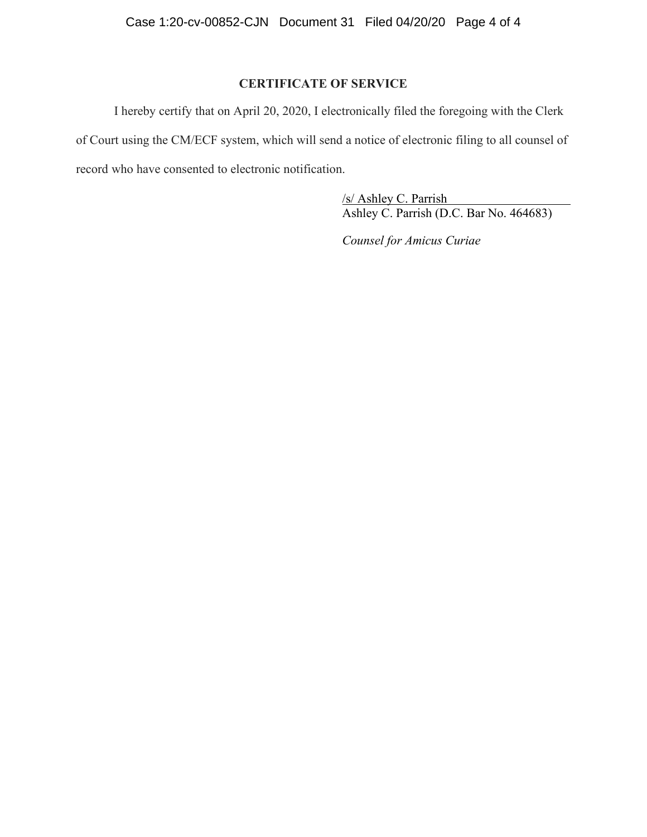# **CERTIFICATE OF SERVICE**

I hereby certify that on April 20, 2020, I electronically filed the foregoing with the Clerk of Court using the CM/ECF system, which will send a notice of electronic filing to all counsel of record who have consented to electronic notification.

> /s/ Ashley C. Parrish Ashley C. Parrish (D.C. Bar No. 464683)

*Counsel for Amicus Curiae*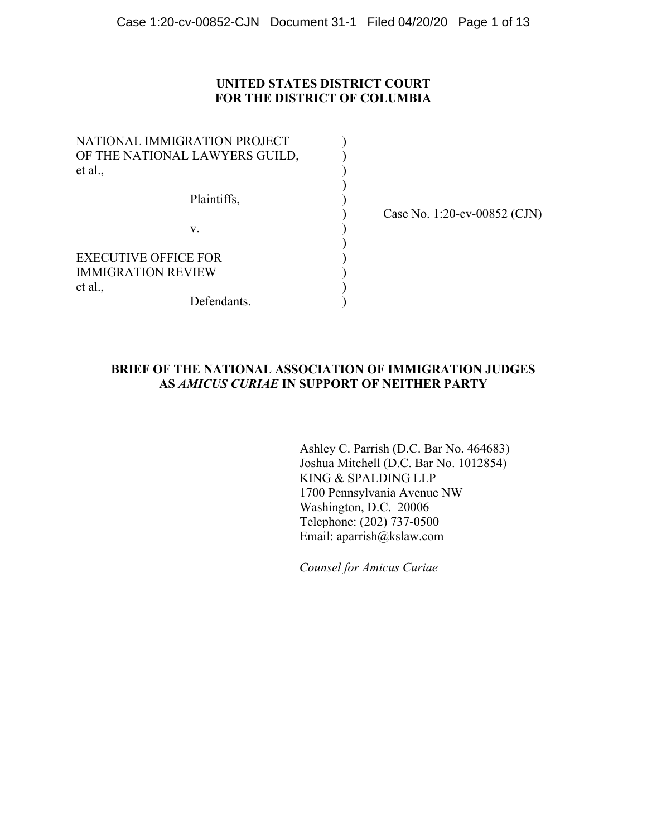## **UNITED STATES DISTRICT COURT FOR THE DISTRICT OF COLUMBIA**

| NATIONAL IMMIGRATION PROJECT   |  |
|--------------------------------|--|
| OF THE NATIONAL LAWYERS GUILD, |  |
| et al.,                        |  |
|                                |  |
| Plaintiffs,                    |  |
|                                |  |
| V.                             |  |
|                                |  |
| <b>EXECUTIVE OFFICE FOR</b>    |  |
| <b>IMMIGRATION REVIEW</b>      |  |
| et al.,                        |  |
| Defendants.                    |  |

) Case No. 1:20-cv-00852 (CJN)

# **BRIEF OF THE NATIONAL ASSOCIATION OF IMMIGRATION JUDGES AS** *AMICUS CURIAE* **IN SUPPORT OF NEITHER PARTY**

Ashley C. Parrish (D.C. Bar No. 464683) Joshua Mitchell (D.C. Bar No. 1012854) KING & SPALDING LLP 1700 Pennsylvania Avenue NW Washington, D.C. 20006 Telephone: (202) 737-0500 Email: aparrish@kslaw.com

*Counsel for Amicus Curiae*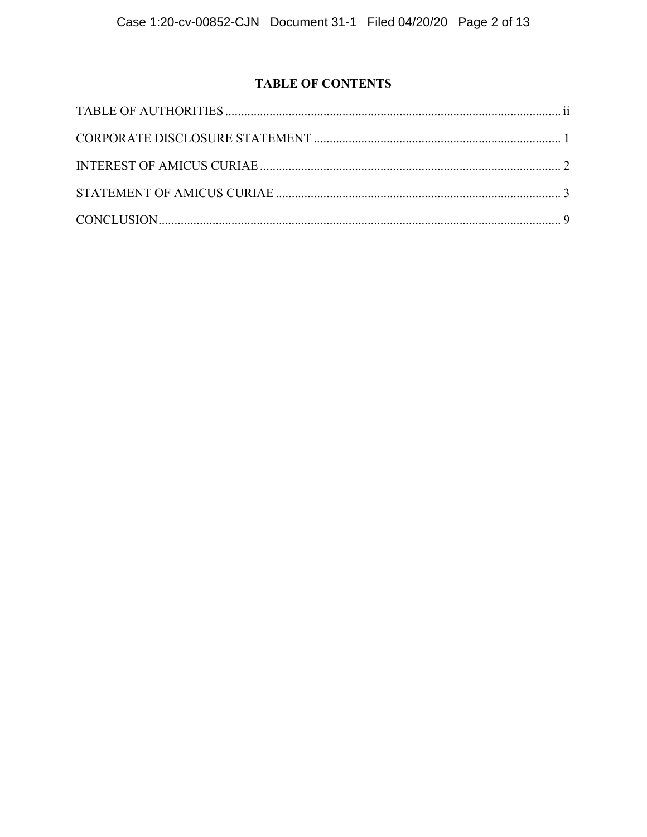# **TABLE OF CONTENTS**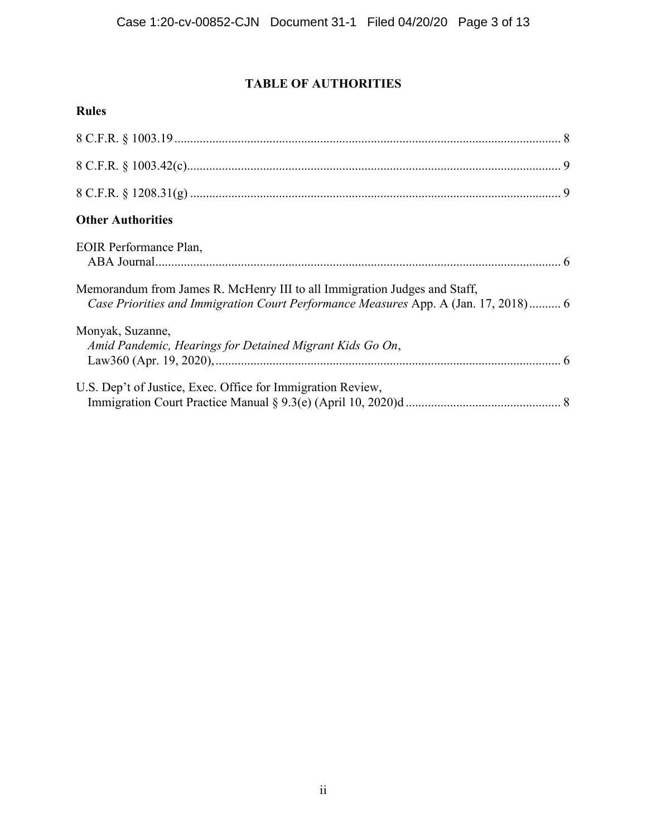# **TABLE OF AUTHORITIES**

# **Rules**

| <b>Other Authorities</b>                                                                                                                                         |  |
|------------------------------------------------------------------------------------------------------------------------------------------------------------------|--|
| EOIR Performance Plan,                                                                                                                                           |  |
| Memorandum from James R. McHenry III to all Immigration Judges and Staff,<br>Case Priorities and Immigration Court Performance Measures App. A (Jan. 17, 2018) 6 |  |
| Monyak, Suzanne,<br>Amid Pandemic, Hearings for Detained Migrant Kids Go On,                                                                                     |  |
| U.S. Dep't of Justice, Exec. Office for Immigration Review,                                                                                                      |  |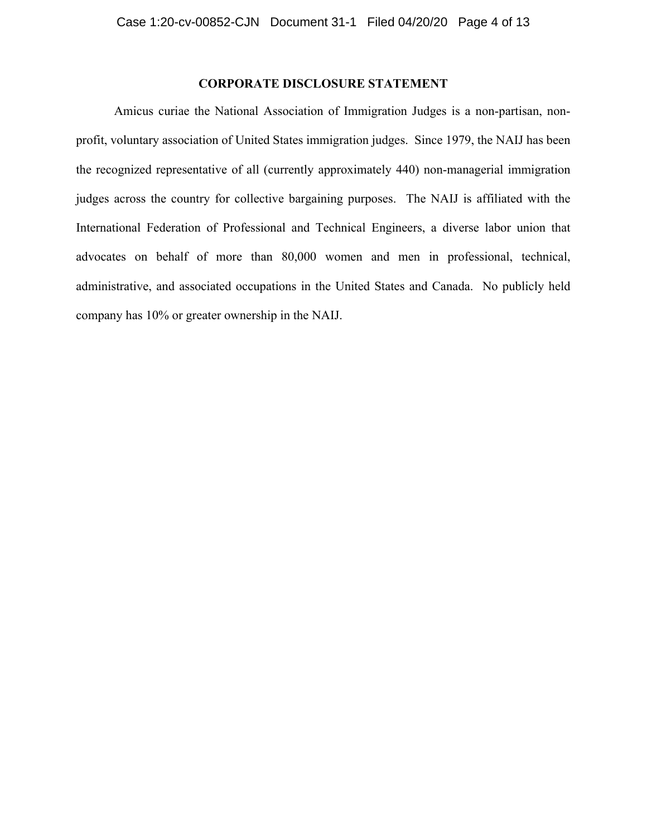# **CORPORATE DISCLOSURE STATEMENT**

Amicus curiae the National Association of Immigration Judges is a non-partisan, nonprofit, voluntary association of United States immigration judges. Since 1979, the NAIJ has been the recognized representative of all (currently approximately 440) non-managerial immigration judges across the country for collective bargaining purposes. The NAIJ is affiliated with the International Federation of Professional and Technical Engineers, a diverse labor union that advocates on behalf of more than 80,000 women and men in professional, technical, administrative, and associated occupations in the United States and Canada. No publicly held company has 10% or greater ownership in the NAIJ.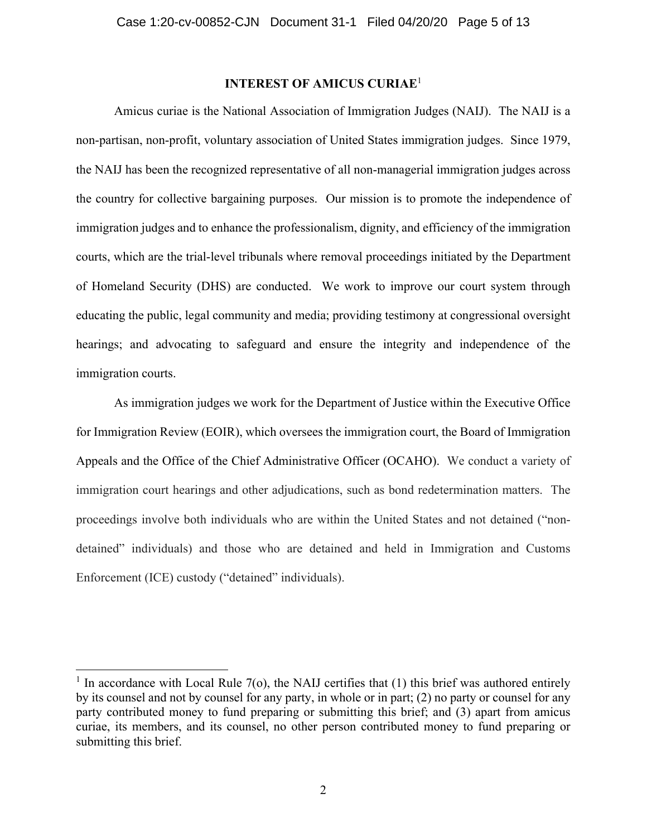# **INTEREST OF AMICUS CURIAE**<sup>1</sup>

Amicus curiae is the National Association of Immigration Judges (NAIJ). The NAIJ is a non-partisan, non-profit, voluntary association of United States immigration judges. Since 1979, the NAIJ has been the recognized representative of all non-managerial immigration judges across the country for collective bargaining purposes. Our mission is to promote the independence of immigration judges and to enhance the professionalism, dignity, and efficiency of the immigration courts, which are the trial-level tribunals where removal proceedings initiated by the Department of Homeland Security (DHS) are conducted. We work to improve our court system through educating the public, legal community and media; providing testimony at congressional oversight hearings; and advocating to safeguard and ensure the integrity and independence of the immigration courts.

As immigration judges we work for the Department of Justice within the Executive Office for Immigration Review (EOIR), which oversees the immigration court, the Board of Immigration Appeals and the Office of the Chief Administrative Officer (OCAHO). We conduct a variety of immigration court hearings and other adjudications, such as bond redetermination matters. The proceedings involve both individuals who are within the United States and not detained ("nondetained" individuals) and those who are detained and held in Immigration and Customs Enforcement (ICE) custody ("detained" individuals).

<sup>&</sup>lt;sup>1</sup> In accordance with Local Rule 7(o), the NAIJ certifies that (1) this brief was authored entirely by its counsel and not by counsel for any party, in whole or in part; (2) no party or counsel for any party contributed money to fund preparing or submitting this brief; and (3) apart from amicus curiae, its members, and its counsel, no other person contributed money to fund preparing or submitting this brief.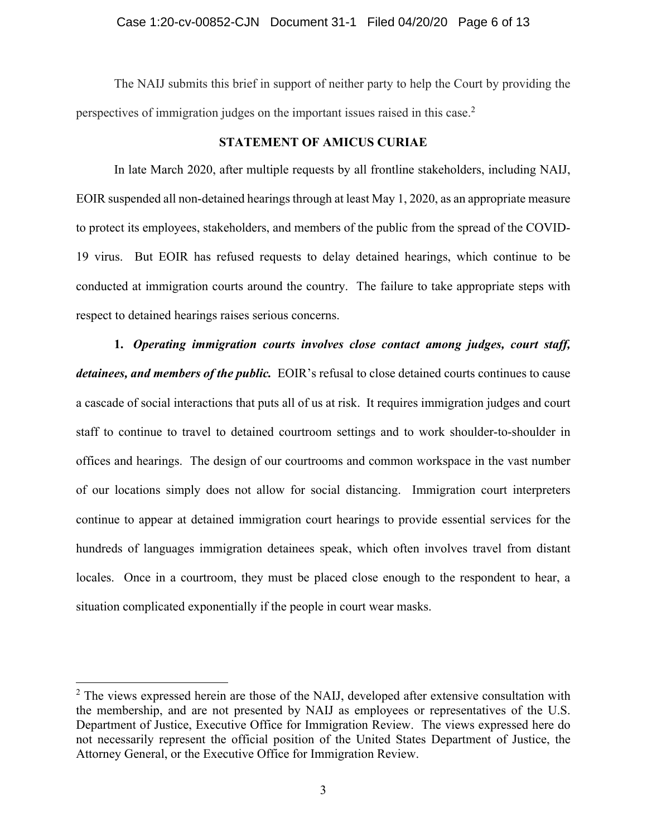## Case 1:20-cv-00852-CJN Document 31-1 Filed 04/20/20 Page 6 of 13

The NAIJ submits this brief in support of neither party to help the Court by providing the perspectives of immigration judges on the important issues raised in this case.<sup>2</sup>

## **STATEMENT OF AMICUS CURIAE**

In late March 2020, after multiple requests by all frontline stakeholders, including NAIJ, EOIR suspended all non-detained hearings through at least May 1, 2020, as an appropriate measure to protect its employees, stakeholders, and members of the public from the spread of the COVID-19 virus. But EOIR has refused requests to delay detained hearings, which continue to be conducted at immigration courts around the country. The failure to take appropriate steps with respect to detained hearings raises serious concerns.

**1.** *Operating immigration courts involves close contact among judges, court staff, detainees, and members of the public.* EOIR's refusal to close detained courts continues to cause a cascade of social interactions that puts all of us at risk. It requires immigration judges and court staff to continue to travel to detained courtroom settings and to work shoulder-to-shoulder in offices and hearings. The design of our courtrooms and common workspace in the vast number of our locations simply does not allow for social distancing. Immigration court interpreters continue to appear at detained immigration court hearings to provide essential services for the hundreds of languages immigration detainees speak, which often involves travel from distant locales. Once in a courtroom, they must be placed close enough to the respondent to hear, a situation complicated exponentially if the people in court wear masks.

 $2$  The views expressed herein are those of the NAIJ, developed after extensive consultation with the membership, and are not presented by NAIJ as employees or representatives of the U.S. Department of Justice, Executive Office for Immigration Review. The views expressed here do not necessarily represent the official position of the United States Department of Justice, the Attorney General, or the Executive Office for Immigration Review.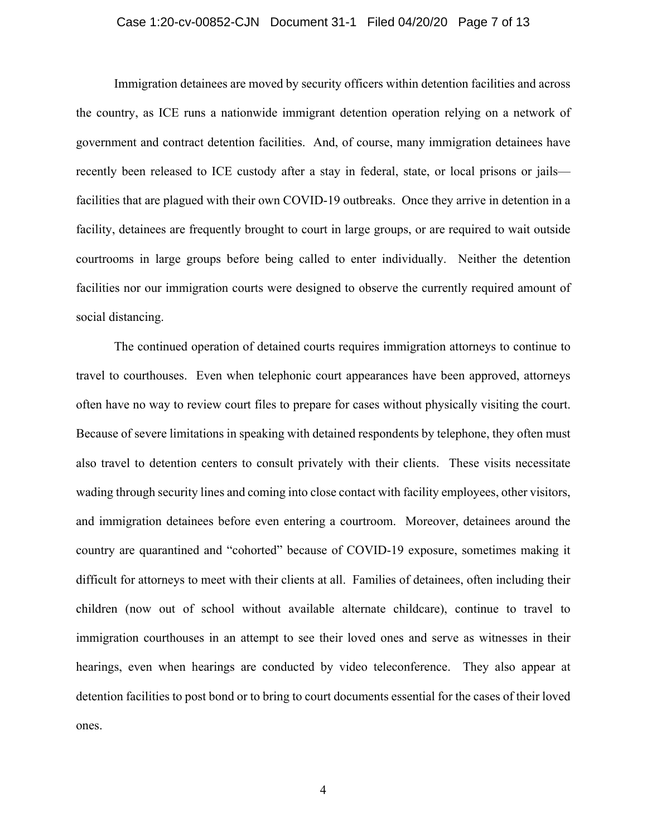## Case 1:20-cv-00852-CJN Document 31-1 Filed 04/20/20 Page 7 of 13

Immigration detainees are moved by security officers within detention facilities and across the country, as ICE runs a nationwide immigrant detention operation relying on a network of government and contract detention facilities. And, of course, many immigration detainees have recently been released to ICE custody after a stay in federal, state, or local prisons or jails facilities that are plagued with their own COVID-19 outbreaks. Once they arrive in detention in a facility, detainees are frequently brought to court in large groups, or are required to wait outside courtrooms in large groups before being called to enter individually. Neither the detention facilities nor our immigration courts were designed to observe the currently required amount of social distancing.

The continued operation of detained courts requires immigration attorneys to continue to travel to courthouses. Even when telephonic court appearances have been approved, attorneys often have no way to review court files to prepare for cases without physically visiting the court. Because of severe limitations in speaking with detained respondents by telephone, they often must also travel to detention centers to consult privately with their clients. These visits necessitate wading through security lines and coming into close contact with facility employees, other visitors, and immigration detainees before even entering a courtroom. Moreover, detainees around the country are quarantined and "cohorted" because of COVID-19 exposure, sometimes making it difficult for attorneys to meet with their clients at all. Families of detainees, often including their children (now out of school without available alternate childcare), continue to travel to immigration courthouses in an attempt to see their loved ones and serve as witnesses in their hearings, even when hearings are conducted by video teleconference. They also appear at detention facilities to post bond or to bring to court documents essential for the cases of their loved ones.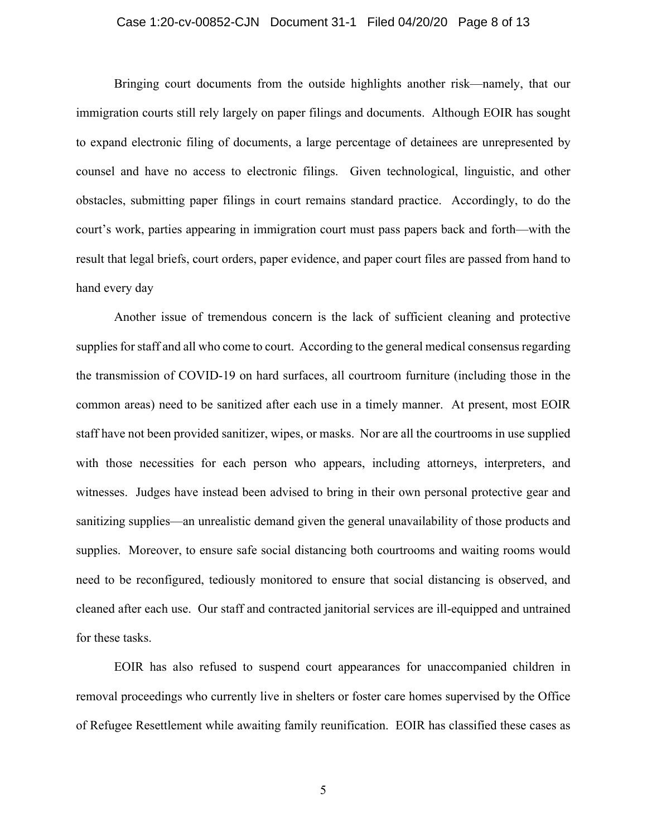## Case 1:20-cv-00852-CJN Document 31-1 Filed 04/20/20 Page 8 of 13

Bringing court documents from the outside highlights another risk—namely, that our immigration courts still rely largely on paper filings and documents. Although EOIR has sought to expand electronic filing of documents, a large percentage of detainees are unrepresented by counsel and have no access to electronic filings. Given technological, linguistic, and other obstacles, submitting paper filings in court remains standard practice. Accordingly, to do the court's work, parties appearing in immigration court must pass papers back and forth—with the result that legal briefs, court orders, paper evidence, and paper court files are passed from hand to hand every day

Another issue of tremendous concern is the lack of sufficient cleaning and protective supplies for staff and all who come to court. According to the general medical consensus regarding the transmission of COVID-19 on hard surfaces, all courtroom furniture (including those in the common areas) need to be sanitized after each use in a timely manner. At present, most EOIR staff have not been provided sanitizer, wipes, or masks. Nor are all the courtrooms in use supplied with those necessities for each person who appears, including attorneys, interpreters, and witnesses. Judges have instead been advised to bring in their own personal protective gear and sanitizing supplies—an unrealistic demand given the general unavailability of those products and supplies. Moreover, to ensure safe social distancing both courtrooms and waiting rooms would need to be reconfigured, tediously monitored to ensure that social distancing is observed, and cleaned after each use. Our staff and contracted janitorial services are ill-equipped and untrained for these tasks.

EOIR has also refused to suspend court appearances for unaccompanied children in removal proceedings who currently live in shelters or foster care homes supervised by the Office of Refugee Resettlement while awaiting family reunification. EOIR has classified these cases as

5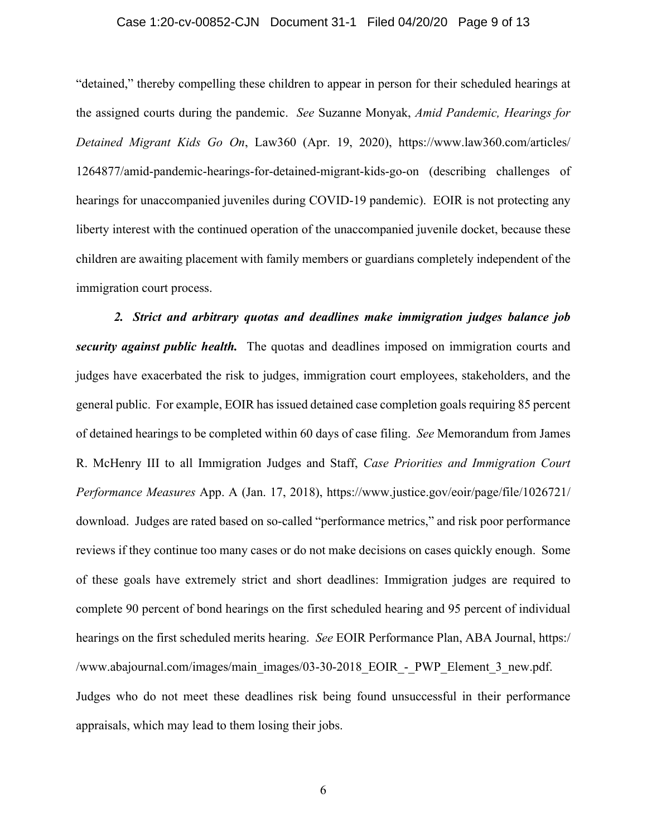### Case 1:20-cv-00852-CJN Document 31-1 Filed 04/20/20 Page 9 of 13

"detained," thereby compelling these children to appear in person for their scheduled hearings at the assigned courts during the pandemic. *See* Suzanne Monyak, *Amid Pandemic, Hearings for Detained Migrant Kids Go On*, Law360 (Apr. 19, 2020), https://www.law360.com/articles/ 1264877/amid-pandemic-hearings-for-detained-migrant-kids-go-on (describing challenges of hearings for unaccompanied juveniles during COVID-19 pandemic). EOIR is not protecting any liberty interest with the continued operation of the unaccompanied juvenile docket, because these children are awaiting placement with family members or guardians completely independent of the immigration court process.

*2. Strict and arbitrary quotas and deadlines make immigration judges balance job security against public health.* The quotas and deadlines imposed on immigration courts and judges have exacerbated the risk to judges, immigration court employees, stakeholders, and the general public. For example, EOIR has issued detained case completion goals requiring 85 percent of detained hearings to be completed within 60 days of case filing. *See* Memorandum from James R. McHenry III to all Immigration Judges and Staff, *Case Priorities and Immigration Court Performance Measures* App. A (Jan. 17, 2018), https://www.justice.gov/eoir/page/file/1026721/ download. Judges are rated based on so-called "performance metrics," and risk poor performance reviews if they continue too many cases or do not make decisions on cases quickly enough. Some of these goals have extremely strict and short deadlines: Immigration judges are required to complete 90 percent of bond hearings on the first scheduled hearing and 95 percent of individual hearings on the first scheduled merits hearing. *See* EOIR Performance Plan, ABA Journal, https:/ /www.abajournal.com/images/main\_images/03-30-2018\_EOIR\_-\_PWP\_Element\_3\_new.pdf. Judges who do not meet these deadlines risk being found unsuccessful in their performance appraisals, which may lead to them losing their jobs.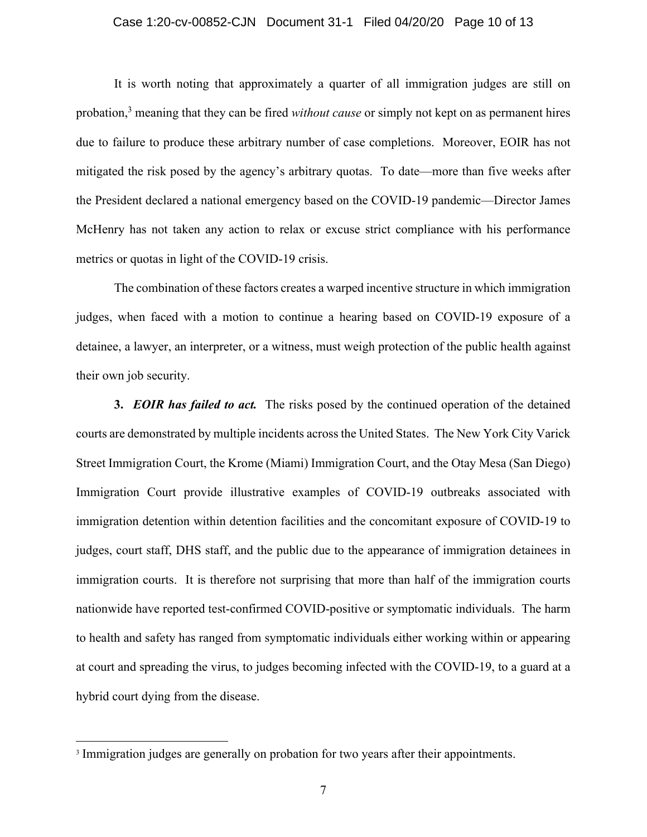## Case 1:20-cv-00852-CJN Document 31-1 Filed 04/20/20 Page 10 of 13

It is worth noting that approximately a quarter of all immigration judges are still on probation,<sup>3</sup> meaning that they can be fired *without cause* or simply not kept on as permanent hires due to failure to produce these arbitrary number of case completions. Moreover, EOIR has not mitigated the risk posed by the agency's arbitrary quotas. To date—more than five weeks after the President declared a national emergency based on the COVID-19 pandemic—Director James McHenry has not taken any action to relax or excuse strict compliance with his performance metrics or quotas in light of the COVID-19 crisis.

The combination of these factors creates a warped incentive structure in which immigration judges, when faced with a motion to continue a hearing based on COVID-19 exposure of a detainee, a lawyer, an interpreter, or a witness, must weigh protection of the public health against their own job security.

**3.** *EOIR has failed to act.* The risks posed by the continued operation of the detained courts are demonstrated by multiple incidents across the United States. The New York City Varick Street Immigration Court, the Krome (Miami) Immigration Court, and the Otay Mesa (San Diego) Immigration Court provide illustrative examples of COVID-19 outbreaks associated with immigration detention within detention facilities and the concomitant exposure of COVID-19 to judges, court staff, DHS staff, and the public due to the appearance of immigration detainees in immigration courts. It is therefore not surprising that more than half of the immigration courts nationwide have reported test-confirmed COVID-positive or symptomatic individuals. The harm to health and safety has ranged from symptomatic individuals either working within or appearing at court and spreading the virus, to judges becoming infected with the COVID-19, to a guard at a hybrid court dying from the disease.

<sup>&</sup>lt;sup>3</sup> Immigration judges are generally on probation for two years after their appointments.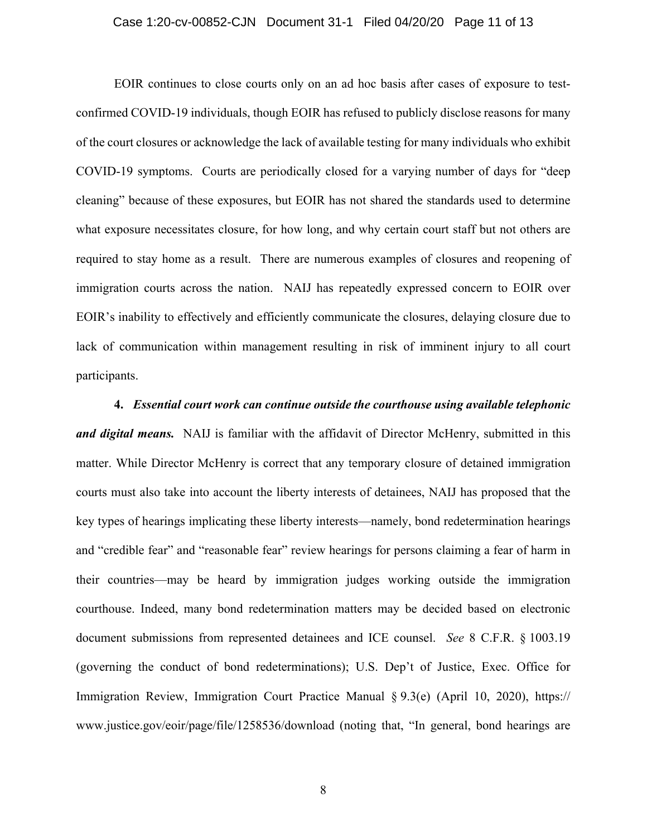### Case 1:20-cv-00852-CJN Document 31-1 Filed 04/20/20 Page 11 of 13

EOIR continues to close courts only on an ad hoc basis after cases of exposure to testconfirmed COVID-19 individuals, though EOIR has refused to publicly disclose reasons for many of the court closures or acknowledge the lack of available testing for many individuals who exhibit COVID-19 symptoms. Courts are periodically closed for a varying number of days for "deep cleaning" because of these exposures, but EOIR has not shared the standards used to determine what exposure necessitates closure, for how long, and why certain court staff but not others are required to stay home as a result. There are numerous examples of closures and reopening of immigration courts across the nation. NAIJ has repeatedly expressed concern to EOIR over EOIR's inability to effectively and efficiently communicate the closures, delaying closure due to lack of communication within management resulting in risk of imminent injury to all court participants.

#### **4.** *Essential court work can continue outside the courthouse using available telephonic*

*and digital means.* NAIJ is familiar with the affidavit of Director McHenry, submitted in this matter. While Director McHenry is correct that any temporary closure of detained immigration courts must also take into account the liberty interests of detainees, NAIJ has proposed that the key types of hearings implicating these liberty interests—namely, bond redetermination hearings and "credible fear" and "reasonable fear" review hearings for persons claiming a fear of harm in their countries—may be heard by immigration judges working outside the immigration courthouse. Indeed, many bond redetermination matters may be decided based on electronic document submissions from represented detainees and ICE counsel. *See* 8 C.F.R. § 1003.19 (governing the conduct of bond redeterminations); U.S. Dep't of Justice, Exec. Office for Immigration Review, Immigration Court Practice Manual § 9.3(e) (April 10, 2020), https:// www.justice.gov/eoir/page/file/1258536/download (noting that, "In general, bond hearings are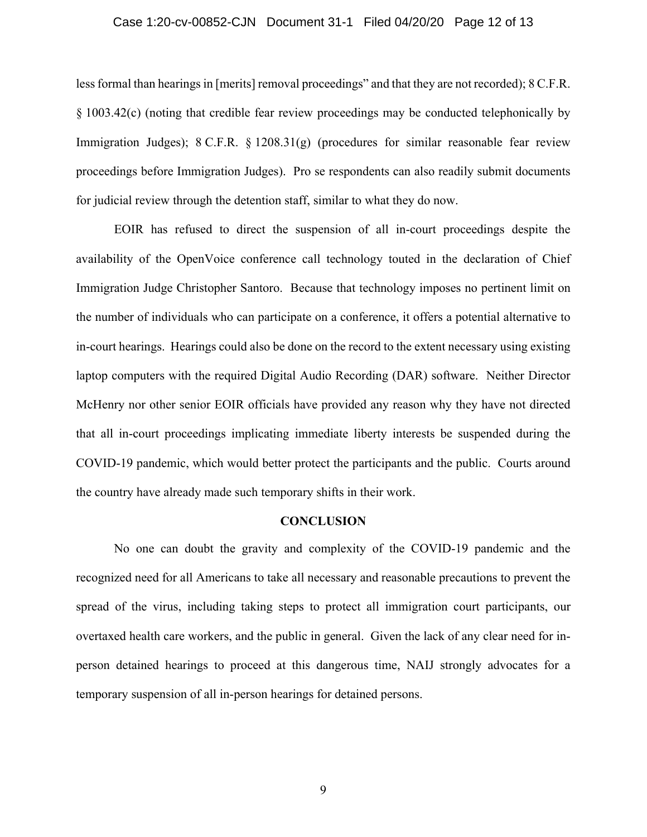#### Case 1:20-cv-00852-CJN Document 31-1 Filed 04/20/20 Page 12 of 13

less formal than hearings in [merits] removal proceedings" and that they are not recorded); 8 C.F.R. § 1003.42(c) (noting that credible fear review proceedings may be conducted telephonically by Immigration Judges); 8 C.F.R. § 1208.31(g) (procedures for similar reasonable fear review proceedings before Immigration Judges). Pro se respondents can also readily submit documents for judicial review through the detention staff, similar to what they do now.

EOIR has refused to direct the suspension of all in-court proceedings despite the availability of the OpenVoice conference call technology touted in the declaration of Chief Immigration Judge Christopher Santoro. Because that technology imposes no pertinent limit on the number of individuals who can participate on a conference, it offers a potential alternative to in-court hearings. Hearings could also be done on the record to the extent necessary using existing laptop computers with the required Digital Audio Recording (DAR) software. Neither Director McHenry nor other senior EOIR officials have provided any reason why they have not directed that all in-court proceedings implicating immediate liberty interests be suspended during the COVID-19 pandemic, which would better protect the participants and the public. Courts around the country have already made such temporary shifts in their work.

## **CONCLUSION**

No one can doubt the gravity and complexity of the COVID-19 pandemic and the recognized need for all Americans to take all necessary and reasonable precautions to prevent the spread of the virus, including taking steps to protect all immigration court participants, our overtaxed health care workers, and the public in general. Given the lack of any clear need for inperson detained hearings to proceed at this dangerous time, NAIJ strongly advocates for a temporary suspension of all in-person hearings for detained persons.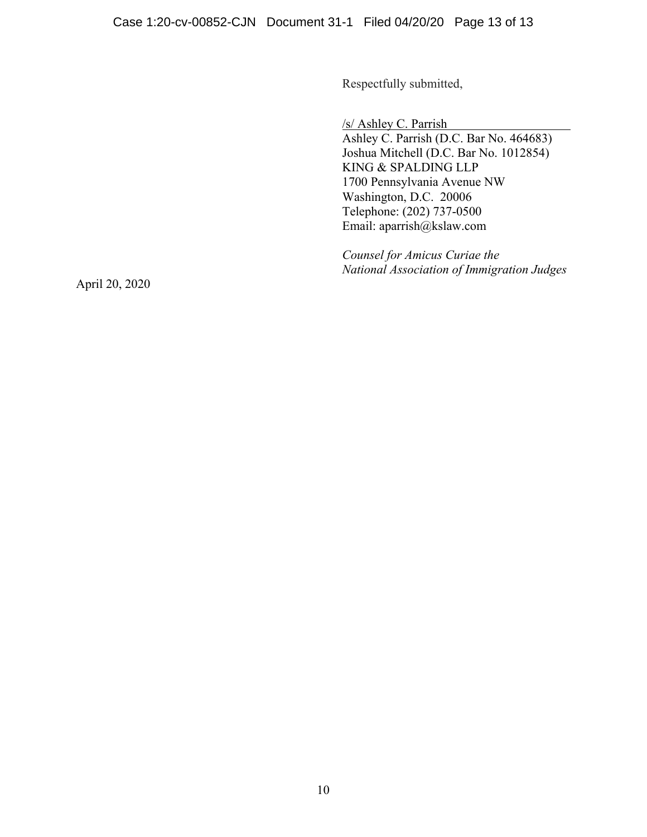Respectfully submitted,

/s/ Ashley C. Parrish

Ashley C. Parrish (D.C. Bar No. 464683) Joshua Mitchell (D.C. Bar No. 1012854) KING & SPALDING LLP 1700 Pennsylvania Avenue NW Washington, D.C. 20006 Telephone: (202) 737-0500 Email: aparrish@kslaw.com

*Counsel for Amicus Curiae the National Association of Immigration Judges* 

April 20, 2020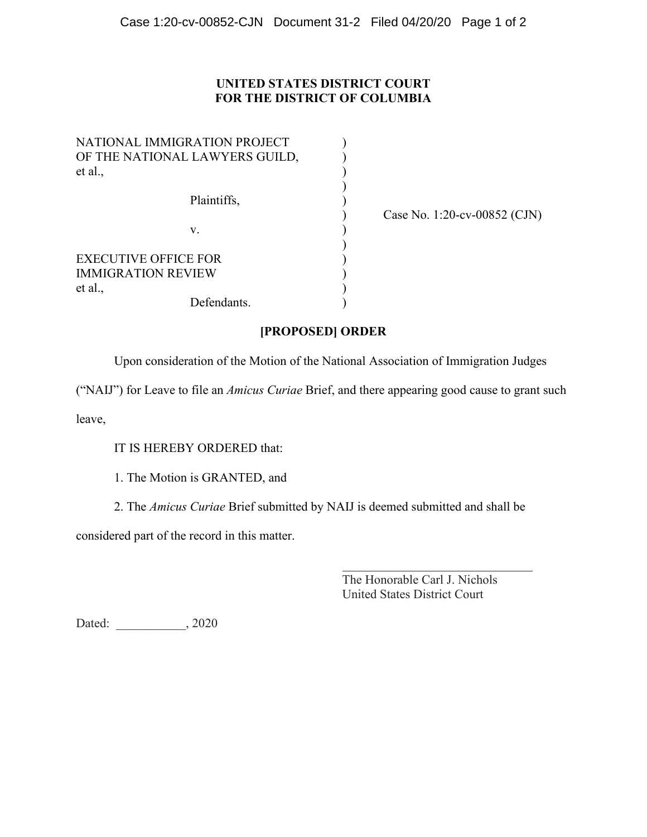# **UNITED STATES DISTRICT COURT FOR THE DISTRICT OF COLUMBIA**

| NATIONAL IMMIGRATION PROJECT<br>OF THE NATIONAL LAWYERS GUILD,<br>et al., |  |
|---------------------------------------------------------------------------|--|
|                                                                           |  |
| Plaintiffs,                                                               |  |
|                                                                           |  |
| V.                                                                        |  |
| <b>EXECUTIVE OFFICE FOR</b>                                               |  |
| IMMIGRATION REVIEW                                                        |  |
| et al.,                                                                   |  |
| Defendants.                                                               |  |

) Case No. 1:20-cv-00852 (CJN)

# **[PROPOSED] ORDER**

Upon consideration of the Motion of the National Association of Immigration Judges

("NAIJ") for Leave to file an *Amicus Curiae* Brief, and there appearing good cause to grant such

leave,

IT IS HEREBY ORDERED that:

1. The Motion is GRANTED, and

2. The *Amicus Curiae* Brief submitted by NAIJ is deemed submitted and shall be

considered part of the record in this matter.

The Honorable Carl J. Nichols United States District Court

Dated:  $, 2020$